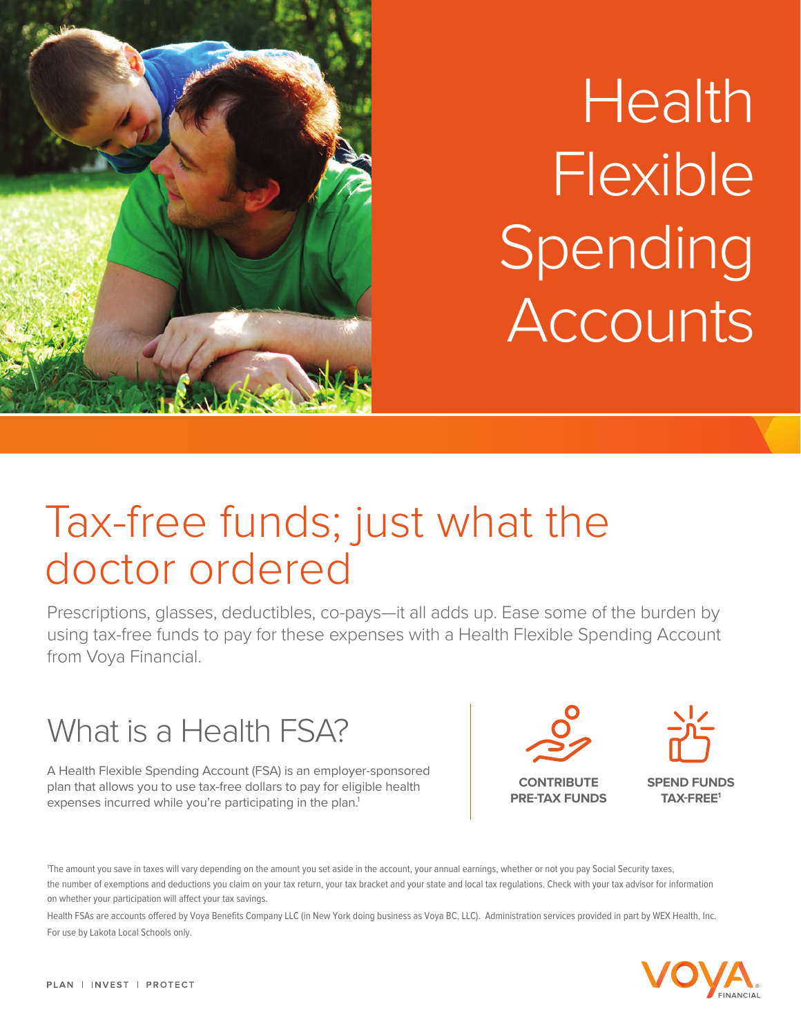

# **Health Flexible** Spending Accounts

## Tax-free funds; just what the doctor ordered

Prescriptions, glasses, deductibles, co-pays—it all adds up. Ease some of the burden by using tax-free funds to pay for these expenses with a Health Flexible Spending Account from Voya Financial.



A Health Flexible Spending Account (FSA) is an employer-sponsored plan that allows you to use tax-free dollars to pay for eligible health expenses incurred while you're participating in the plan.<sup>1</sup>



**CONTRIBUTE PRE-TAX FUNDS** 



**SPEND FUNDS TAX-FREE1**

The amount you save in taxes will vary depending on the amount you set aside in the account, your annual earnings, whether or not you pay Social Security taxes, the number of exemptions and deductions you claim on your tax return, your tax bracket and your state and local tax regulations. Check with your tax advisor for information on whether your participation will affect your tax savings.

Health FSAs are accounts offered by Voya Benefits Company LLC (in New York doing business as Voya BC, LLC). Administration services provided in part by WEX Health, Inc. For use by Lakota Local Schools only.

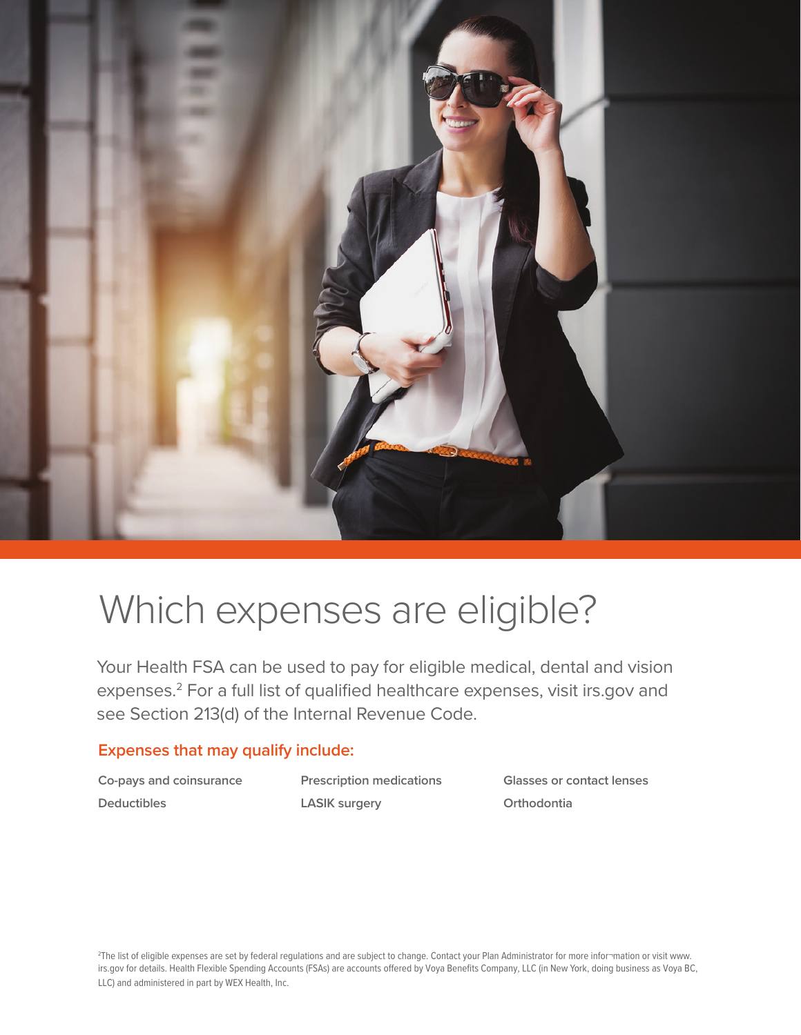

### Which expenses are eligible?

Your Health FSA can be used to pay for eligible medical, dental and vision expenses.2 For a full list of qualified healthcare expenses, visit irs.gov and see Section 213(d) of the Internal Revenue Code.

#### **Expenses that may qualify include:**

**Co-pays and coinsurance Deductibles**

**Prescription medications LASIK surgery**

**Glasses or contact lenses Orthodontia**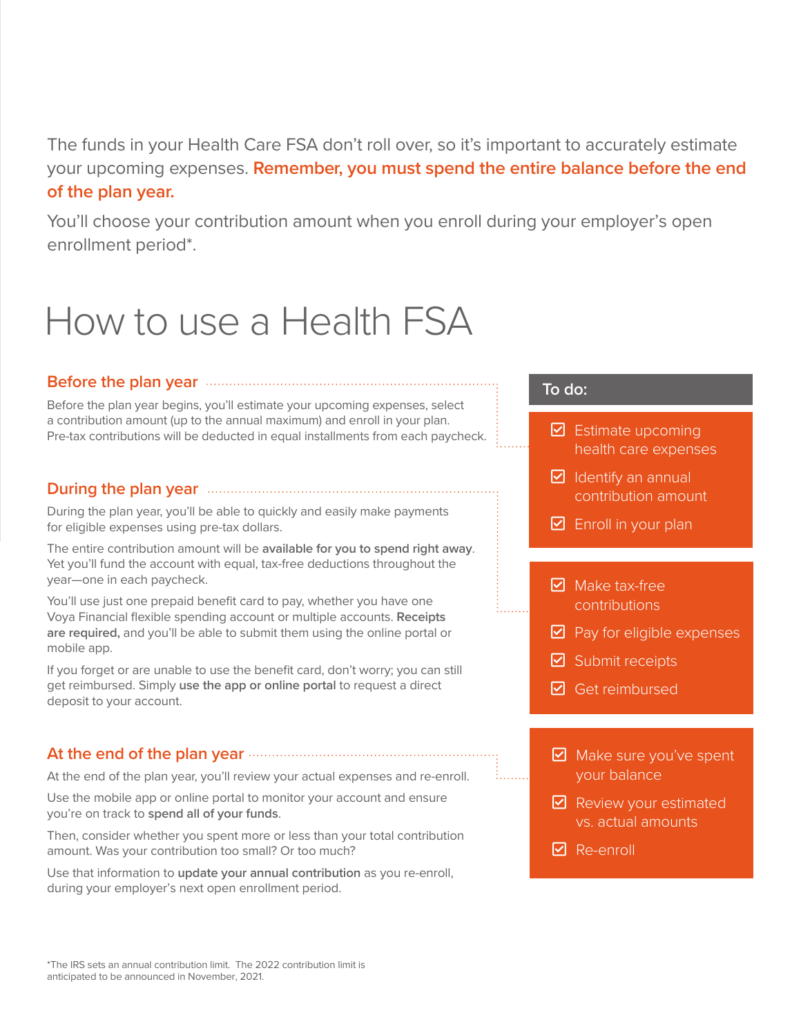The funds in your Health Care FSA don't roll over, so it's important to accurately estimate your upcoming expenses. **Remember, you must spend the entire balance before the end of the plan year.**

You'll choose your contribution amount when you enroll during your employer's open enrollment period\*.

### How to use a Health FSA

#### **Before the plan year**

Before the plan year begins, you'll estimate your upcoming expenses, select a contribution amount (up to the annual maximum) and enroll in your plan. Pre-tax contributions will be deducted in equal installments from each paycheck.

#### **During the plan year**

During the plan year, you'll be able to quickly and easily make payments for eligible expenses using pre-tax dollars.

The entire contribution amount will be **available for you to spend right away**. Yet you'll fund the account with equal, tax-free deductions throughout the year—one in each paycheck.

You'll use just one prepaid benefit card to pay, whether you have one Voya Financial flexible spending account or multiple accounts. **Receipts are required,** and you'll be able to submit them using the online portal or mobile app.

If you forget or are unable to use the benefit card, don't worry; you can still get reimbursed. Simply **use the app or online portal** to request a direct deposit to your account.

#### **At the end of the plan year**

At the end of the plan year, you'll review your actual expenses and re-enroll.

Use the mobile app or online portal to monitor your account and ensure you're on track to **spend all of your funds**.

Then, consider whether you spent more or less than your total contribution amount. Was your contribution too small? Or too much?

Use that information to **update your annual contribution** as you re-enroll, during your employer's next open enrollment period.

#### **To do:**

- $\triangleright$  Estimate upcoming health care expenses
- $\triangleright$  Identify an annual contribution amount
- $\boxdot$  Enroll in your plan
- $\boxdot$  Make tax-free contributions
- $\triangleright$  Pay for eligible expenses
- $\boxdot$  Submit receipts
- $\boxdot$  Get reimbursed
- $\boxdot$  Make sure you've spent your balance
- $\triangledown$  Review your estimated vs. actual amounts
- $\nabla$  Re-enroll